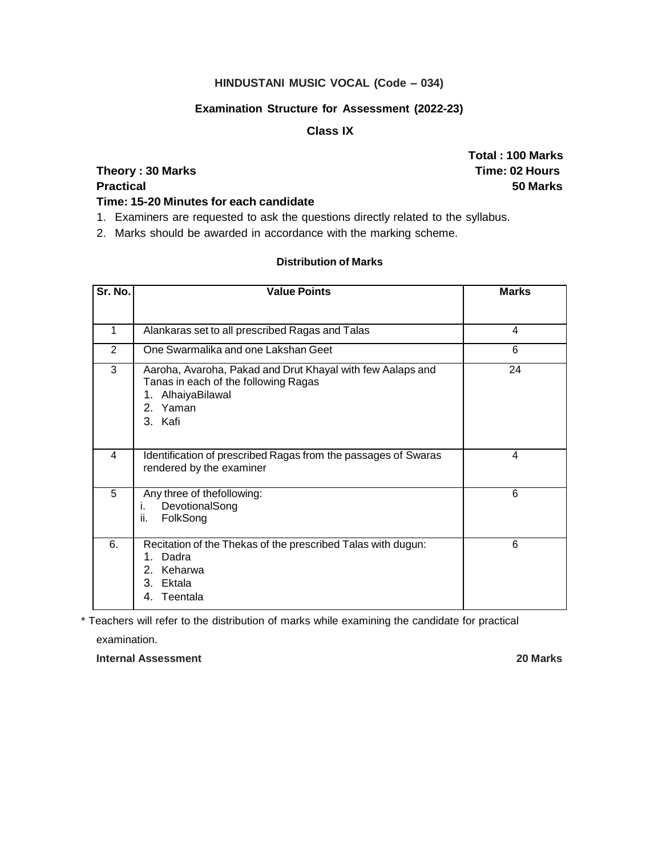# **HINDUSTANI MUSIC VOCAL (Code – 034)**

#### **Examination Structure for Assessment (2022-23)**

## **Class IX**

# **Theory : 30 Marks Time: 02 Hours Practical 50 Marks**

**Total : 100 Marks**

# **Time: 15-20 Minutes for each candidate**

- 1. Examiners are requested to ask the questions directly related to the syllabus.
- 2. Marks should be awarded in accordance with the marking scheme.

# **Distribution of Marks**

| Sr. No. | <b>Value Points</b>                                                                                                                                  | <b>Marks</b>            |
|---------|------------------------------------------------------------------------------------------------------------------------------------------------------|-------------------------|
|         |                                                                                                                                                      |                         |
| 1       | Alankaras set to all prescribed Ragas and Talas                                                                                                      | $\overline{\mathbf{4}}$ |
| 2       | One Swarmalika and one Lakshan Geet                                                                                                                  | 6                       |
| 3       | Aaroha, Avaroha, Pakad and Drut Khayal with few Aalaps and<br>Tanas in each of the following Ragas<br>AlhaiyaBilawal<br>1.<br>2.<br>Yaman<br>3. Kafi | 24                      |
| 4       | Identification of prescribed Ragas from the passages of Swaras<br>rendered by the examiner                                                           | 4                       |
| 5       | Any three of thefollowing:<br>DevotionalSong<br>i.<br>ii.<br>FolkSong                                                                                | 6                       |
| 6.      | Recitation of the Thekas of the prescribed Talas with dugun:<br>Dadra<br>1.<br>Keharwa<br>$2_{-}$<br>Ektala<br>3.<br>Teentala<br>4.                  | 6                       |

\* Teachers will refer to the distribution of marks while examining the candidate for practical

examination.

**Internal Assessment 20 Marks**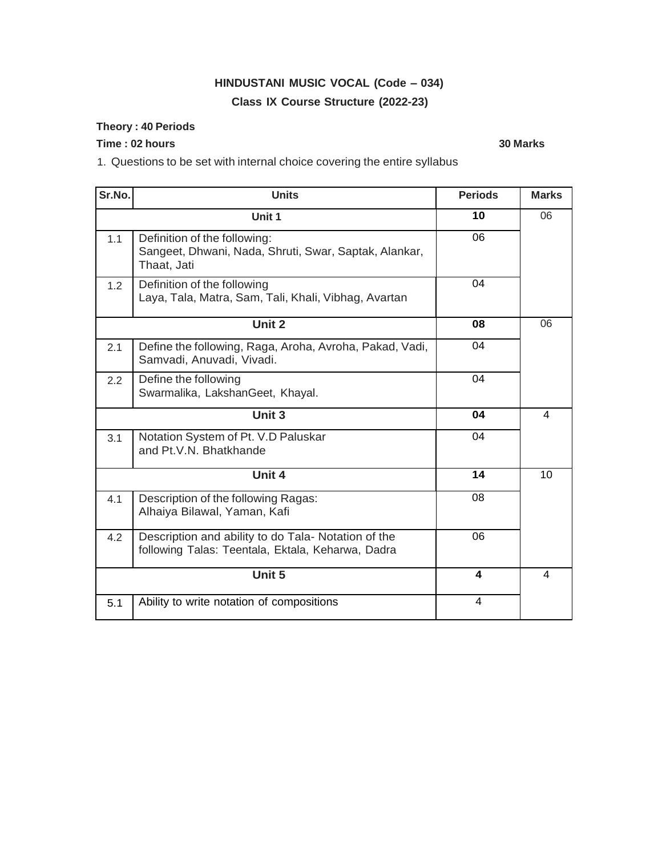# **HINDUSTANI MUSIC VOCAL (Code – 034) Class IX Course Structure (2022-23)**

## **Theory : 40 Periods**

# **Time : 02 hours 30 Marks**

1. Questions to be set with internal choice covering the entire syllabus

| Sr.No. | <b>Units</b>                                                                                             | <b>Periods</b> | <b>Marks</b>            |
|--------|----------------------------------------------------------------------------------------------------------|----------------|-------------------------|
|        | Unit 1                                                                                                   | 10             | 06                      |
| 1.1    | Definition of the following:<br>Sangeet, Dhwani, Nada, Shruti, Swar, Saptak, Alankar,<br>Thaat, Jati     | 06             |                         |
| 1.2    | Definition of the following<br>Laya, Tala, Matra, Sam, Tali, Khali, Vibhag, Avartan                      | 04             |                         |
|        | Unit 2                                                                                                   | 08             | 06                      |
| 2.1    | Define the following, Raga, Aroha, Avroha, Pakad, Vadi,<br>Samvadi, Anuvadi, Vivadi.                     | 04             |                         |
| 2.2    | Define the following<br>Swarmalika, LakshanGeet, Khayal.                                                 | 04             |                         |
|        | Unit 3                                                                                                   | 04             | 4                       |
| 3.1    | Notation System of Pt. V.D Paluskar<br>and Pt.V.N. Bhatkhande                                            | 04             |                         |
|        | Unit 4                                                                                                   | 14             | 10                      |
| 4.1    | Description of the following Ragas:<br>Alhaiya Bilawal, Yaman, Kafi                                      | 08             |                         |
| 4.2    | Description and ability to do Tala- Notation of the<br>following Talas: Teentala, Ektala, Keharwa, Dadra | 06             |                         |
|        | Unit 5                                                                                                   | 4              | $\overline{\mathbf{4}}$ |
| 5.1    | Ability to write notation of compositions                                                                | 4              |                         |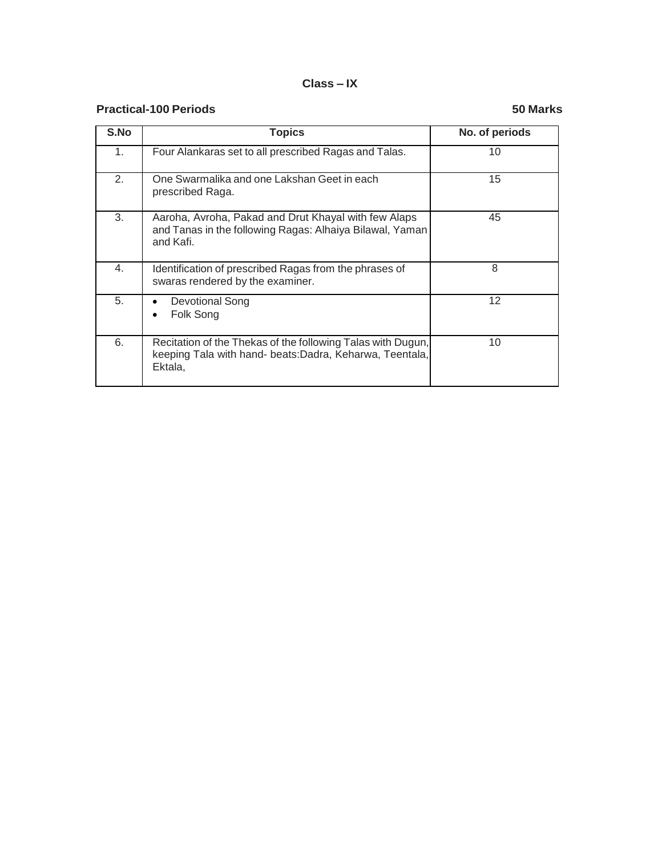#### **Class – IX**

# **Practical-100 Periods 50 Marks**

| S.No | <b>Topics</b>                                                                                                                     | No. of periods    |
|------|-----------------------------------------------------------------------------------------------------------------------------------|-------------------|
| 1.   | Four Alankaras set to all prescribed Ragas and Talas.                                                                             | 10                |
| 2.   | One Swarmalika and one Lakshan Geet in each<br>prescribed Raga.                                                                   | 15                |
| 3.   | Aaroha, Avroha, Pakad and Drut Khayal with few Alaps<br>and Tanas in the following Ragas: Alhaiya Bilawal, Yaman<br>and Kafi.     | 45                |
| 4.   | Identification of prescribed Ragas from the phrases of<br>swaras rendered by the examiner.                                        | 8                 |
| 5.   | <b>Devotional Song</b><br>Folk Song                                                                                               | $12 \overline{ }$ |
| 6.   | Recitation of the Thekas of the following Talas with Dugun,<br>keeping Tala with hand- beats:Dadra, Keharwa, Teentala,<br>Ektala, | 10                |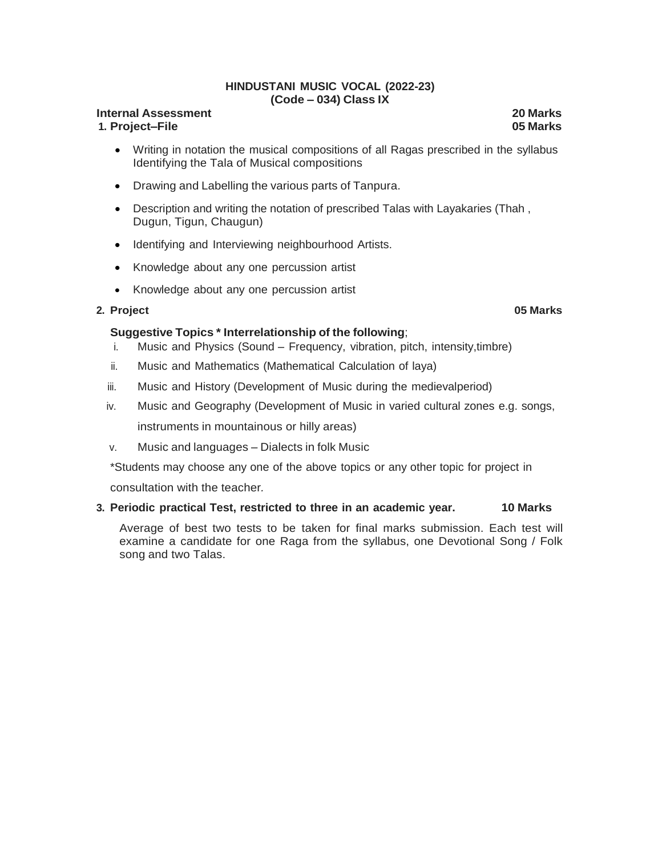#### **HINDUSTANI MUSIC VOCAL (2022-23) (Code – 034) Class IX**

#### **Internal Assessment 20 Marks 1. Project–File 05 Marks**

- Writing in notation the musical compositions of all Ragas prescribed in the syllabus Identifying the Tala of Musical compositions
- Drawing and Labelling the various parts of Tanpura.
- Description and writing the notation of prescribed Talas with Layakaries (Thah , Dugun, Tigun, Chaugun)
- Identifying and Interviewing neighbourhood Artists.
- Knowledge about any one percussion artist
- Knowledge about any one percussion artist

#### **2. Project 05 Marks**

#### **Suggestive Topics \* Interrelationship of the following**;

- i. Music and Physics (Sound Frequency, vibration, pitch, intensity,timbre)
- ii. Music and Mathematics (Mathematical Calculation of laya)
- iii. Music and History (Development of Music during the medievalperiod)
- iv. Music and Geography (Development of Music in varied cultural zones e.g. songs, instruments in mountainous or hilly areas)
- v. Music and languages Dialects in folk Music

\*Students may choose any one of the above topics or any other topic for project in consultation with the teacher*.*

#### **3. Periodic practical Test, restricted to three in an academic year. 10 Marks**

Average of best two tests to be taken for final marks submission. Each test will examine a candidate for one Raga from the syllabus, one Devotional Song / Folk song and two Talas.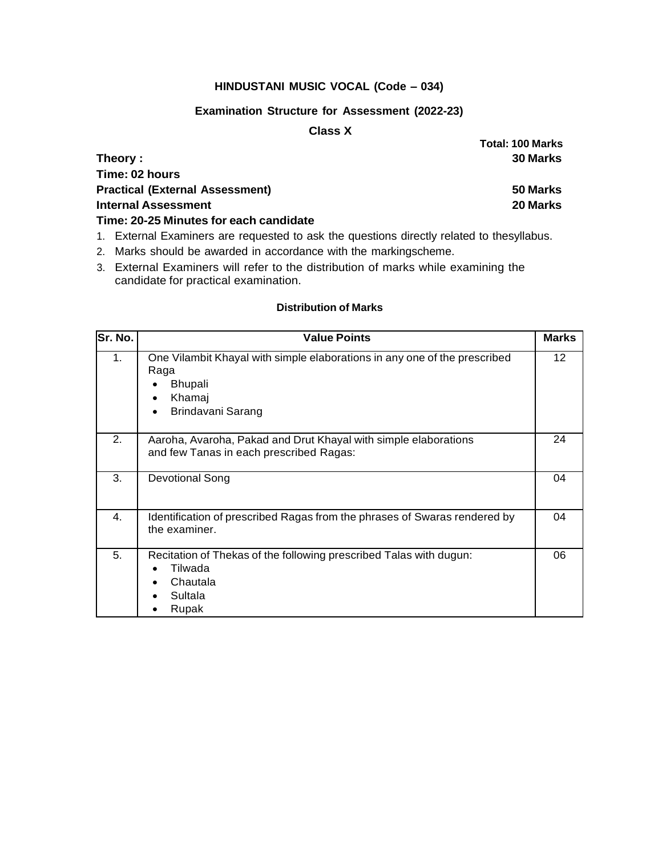### **HINDUSTANI MUSIC VOCAL (Code – 034)**

#### **Examination Structure for Assessment (2022-23)**

## **Class X**

| Theory :                               | 30 Marks |
|----------------------------------------|----------|
| Time: 02 hours                         |          |
| <b>Practical (External Assessment)</b> | 50 Marks |
| <b>Internal Assessment</b>             | 20 Marks |
| Time: 20-25 Minutes for each candidate |          |

- 1. External Examiners are requested to ask the questions directly related to thesyllabus.
- 2. Marks should be awarded in accordance with the markingscheme.
- 3. External Examiners will refer to the distribution of marks while examining the candidate for practical examination.

#### **Distribution of Marks**

| Sr. No.          | <b>Value Points</b>                                                                                                                | <b>Marks</b> |
|------------------|------------------------------------------------------------------------------------------------------------------------------------|--------------|
| 1.               | One Vilambit Khayal with simple elaborations in any one of the prescribed<br>Raga<br><b>Bhupali</b><br>Khamaj<br>Brindavani Sarang | 12           |
| 2.               | Aaroha, Avaroha, Pakad and Drut Khayal with simple elaborations<br>and few Tanas in each prescribed Ragas:                         | 24           |
| 3.               | <b>Devotional Song</b>                                                                                                             | 04           |
| $\overline{4}$ . | Identification of prescribed Ragas from the phrases of Swaras rendered by<br>the examiner.                                         | 04           |
| 5.               | Recitation of Thekas of the following prescribed Talas with dugun:<br>Tilwada<br>Chautala<br>Sultala<br>Rupak                      | 06           |

**Total: 100 Marks**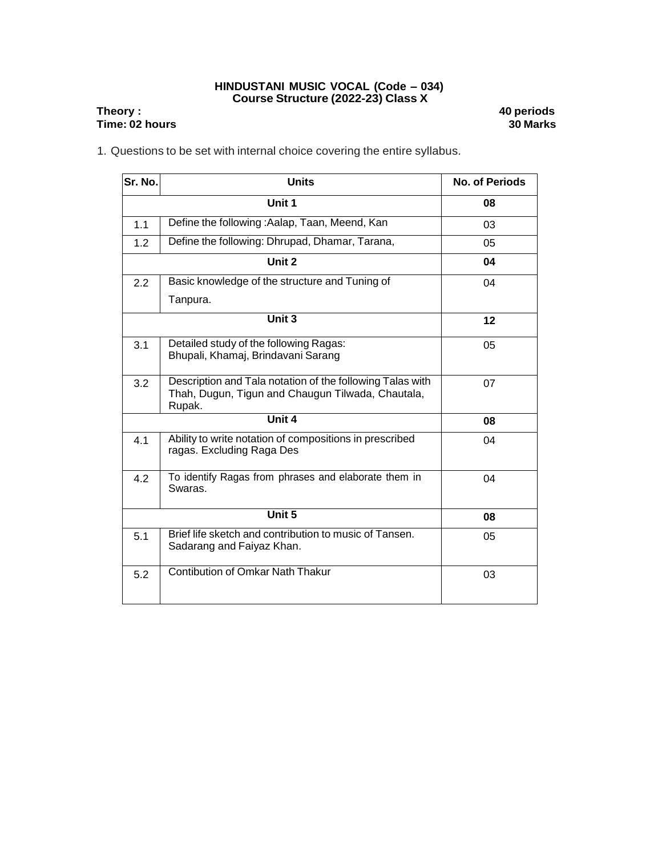#### **HINDUSTANI MUSIC VOCAL (Code – 034) Course Structure (2022-23) Class X**

## **Theory : 40 periods Time: 02 hours**

1. Questions to be set with internal choice covering the entire syllabus.

| Sr. No. | <b>Units</b>                                                                                                             | <b>No. of Periods</b> |
|---------|--------------------------------------------------------------------------------------------------------------------------|-----------------------|
|         | Unit 1                                                                                                                   | 08                    |
| 1.1     | Define the following: Aalap, Taan, Meend, Kan                                                                            | 03                    |
| 1.2     | Define the following: Dhrupad, Dhamar, Tarana,                                                                           | 05                    |
|         | Unit 2                                                                                                                   | 04                    |
| 2.2     | Basic knowledge of the structure and Tuning of                                                                           | 04                    |
|         | Tanpura.                                                                                                                 |                       |
|         | Unit 3                                                                                                                   | 12                    |
| 3.1     | Detailed study of the following Ragas:<br>Bhupali, Khamaj, Brindavani Sarang                                             | 05                    |
| 3.2     | Description and Tala notation of the following Talas with<br>Thah, Dugun, Tigun and Chaugun Tilwada, Chautala,<br>Rupak. | 07                    |
|         | Unit 4                                                                                                                   | 08                    |
| 4.1     | Ability to write notation of compositions in prescribed<br>ragas. Excluding Raga Des                                     | 04                    |
| 4.2     | To identify Ragas from phrases and elaborate them in<br>Swaras.                                                          | 04                    |
|         | Unit 5                                                                                                                   | 08                    |
| 5.1     | Brief life sketch and contribution to music of Tansen.<br>Sadarang and Faiyaz Khan.                                      | 05                    |
| 5.2     | Contibution of Omkar Nath Thakur                                                                                         | 03                    |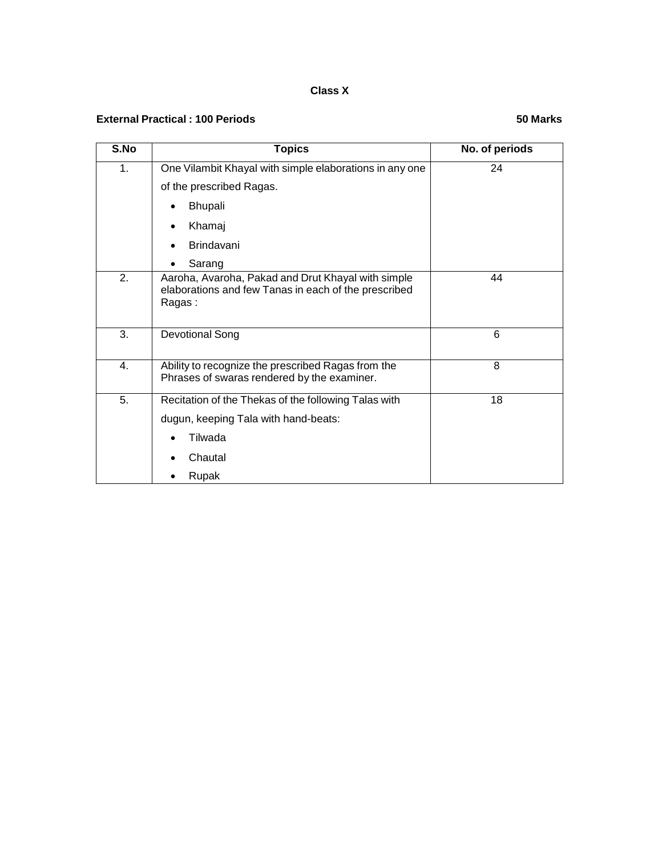## **Class X**

## **External Practical : 100 Periods 50 Marks**

| S.No | <b>Topics</b>                                                                                                        | No. of periods |
|------|----------------------------------------------------------------------------------------------------------------------|----------------|
| 1.   | One Vilambit Khayal with simple elaborations in any one                                                              | 24             |
|      | of the prescribed Ragas.                                                                                             |                |
|      | <b>Bhupali</b>                                                                                                       |                |
|      | Khamaj                                                                                                               |                |
|      | <b>Brindavani</b>                                                                                                    |                |
|      | Sarang                                                                                                               |                |
| 2.   | Aaroha, Avaroha, Pakad and Drut Khayal with simple<br>elaborations and few Tanas in each of the prescribed<br>Ragas: | 44             |
| 3.   | Devotional Song                                                                                                      | 6              |
| 4.   | Ability to recognize the prescribed Ragas from the<br>Phrases of swaras rendered by the examiner.                    | 8              |
| 5.   | Recitation of the Thekas of the following Talas with                                                                 | 18             |
|      | dugun, keeping Tala with hand-beats:                                                                                 |                |
|      | Tilwada                                                                                                              |                |
|      | Chautal                                                                                                              |                |
|      | Rupak                                                                                                                |                |